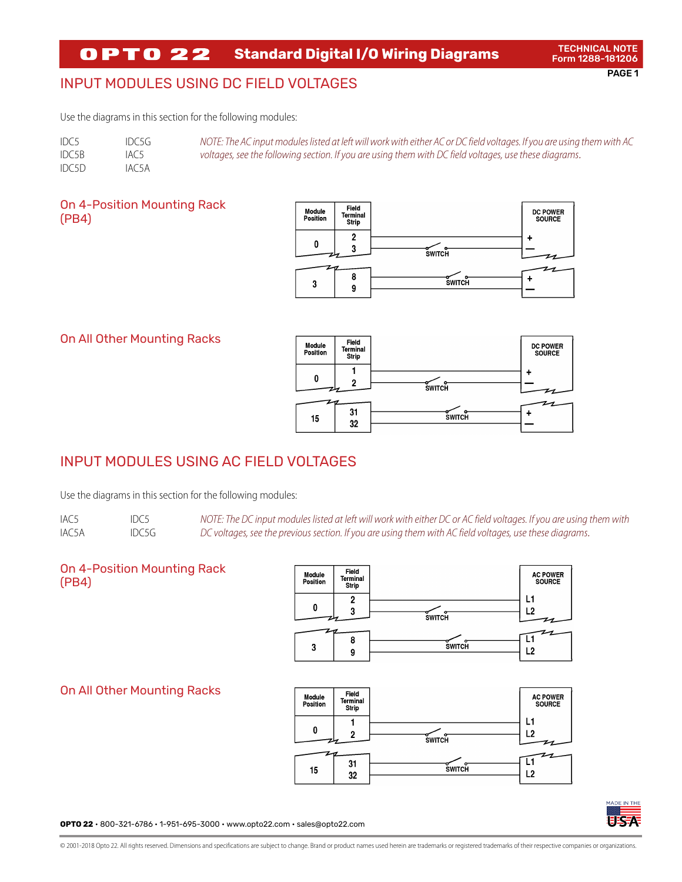#### **OPTO 22 Standard Digital I/O Wiring Diagrams**

# INPUT MODULES USING DC FIELD VOLTAGES

Use the diagrams in this section for the following modules:

| IDC5  | IDC5G | NOTE: The AC input modules listed at left will work with either AC or DC field voltages. If you are using them with AC |
|-------|-------|------------------------------------------------------------------------------------------------------------------------|
| IDC5B | IAC5  | voltages, see the following section. If you are using them with DC field voltages, use these diagrams.                 |
| IDC5D | IAC5A |                                                                                                                        |

### On 4-Position Mounting Rack (PB4)



### On All Other Mounting Racks



# INPUT MODULES USING AC FIELD VOLTAGES

Use the diagrams in this section for the following modules:

IAC5 IAC5A IDC5 IDC5G *NOTE: The DC input modules listed at left will work with either DC or AC field voltages. If you are using them with DC voltages, see the previous section. If you are using them with AC field voltages, use these diagrams.*

### On 4-Position Mounting Rack (PB4)

On All Other Mounting Racks





**OPTO 22** • 800-321-6786 • 1-951-695-3000 • www.opto22.com • sales@opto22.com

© 2001-2018 Opto 22. All rights reserved. Dimensions and specifications are subject to change. Brand or product names used herein are trademarks or registered trademarks of their respective companies or organizations.